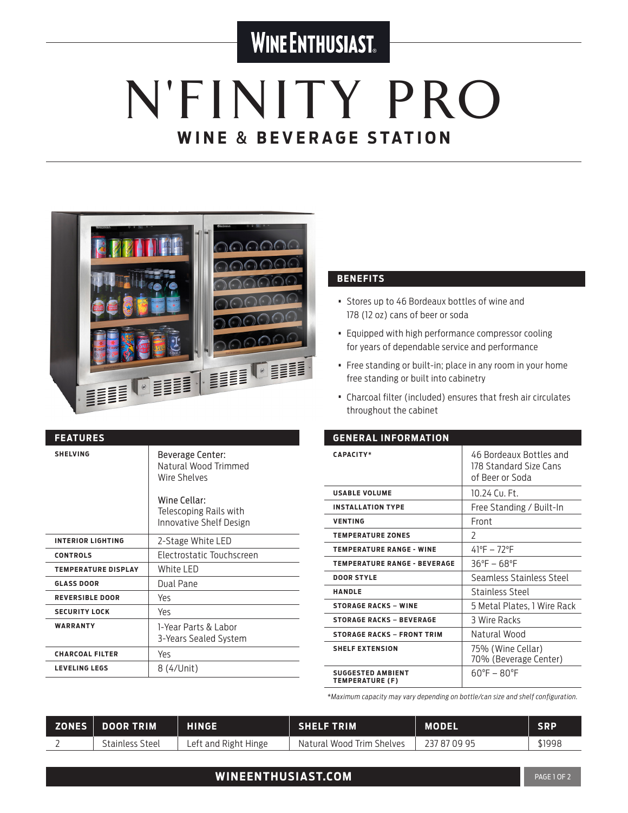### **WINE ENTHUSIAST**

# N'FINITY PRO **WINE** & **BEVERAGE STATION**



| <b>FEATURES</b>            |                                                                          |
|----------------------------|--------------------------------------------------------------------------|
| <b>SHELVING</b>            | Beverage Center:<br>Natural Wood Trimmed<br>Wire Shelves<br>Wine Cellar: |
|                            | Telescoping Rails with<br>Innovative Shelf Design                        |
| <b>INTERIOR LIGHTING</b>   | 2-Stage White LED                                                        |
| <b>CONTROLS</b>            | Electrostatic Touchscreen                                                |
| <b>TEMPERATURE DISPLAY</b> | White LED                                                                |
| <b>GLASS DOOR</b>          | Dual Pane                                                                |
| <b>REVERSIBLE DOOR</b>     | Yes                                                                      |
| <b>SECURITY LOCK</b>       | Yes                                                                      |
| <b>WARRANTY</b>            | 1-Year Parts & Labor<br>3-Years Sealed System                            |
| <b>CHARCOAL FILTER</b>     | Yes                                                                      |
| <b>LEVELING LEGS</b>       | 8 (4/Unit)                                                               |

#### **BENEFITS**

- Stores up to 46 Bordeaux bottles of wine and 178 (12 oz) cans of beer or soda
- Equipped with high performance compressor cooling for years of dependable service and performance
- Free standing or built-in; place in any room in your home free standing or built into cabinetry
- Charcoal filter (included) ensures that fresh air circulates throughout the cabinet

| <b>GENERAL INFORMATION</b>                         |                                                                      |  |  |
|----------------------------------------------------|----------------------------------------------------------------------|--|--|
| <b>CAPACITY*</b>                                   | 46 Bordeaux Bottles and<br>178 Standard Size Cans<br>of Beer or Soda |  |  |
| <b>USABLE VOLUME</b>                               | 10 24 Cu Ft                                                          |  |  |
| <b>INSTALLATION TYPE</b>                           | Free Standing / Built-In                                             |  |  |
| <b>VENTING</b>                                     | Front                                                                |  |  |
| <b>TEMPERATURE ZONES</b>                           | $\mathcal{L}$                                                        |  |  |
| <b>TEMPERATURE RANGE - WINE</b>                    | $41^{\circ}F - 72^{\circ}F$                                          |  |  |
| <b>TEMPERATURE RANGE - BEVERAGE</b>                | $36^{\circ}F - 68^{\circ}F$                                          |  |  |
| <b>DOOR STYLE</b>                                  | Seamless Stainless Steel                                             |  |  |
| <b>HANDLE</b>                                      | Stainless Steel                                                      |  |  |
| <b>STORAGE RACKS - WINE</b>                        | 5 Metal Plates, 1 Wire Rack                                          |  |  |
| <b>STORAGE RACKS - BEVERAGE</b>                    | 3 Wire Racks                                                         |  |  |
| <b>STORAGE RACKS - FRONT TRIM</b>                  | Natural Wood                                                         |  |  |
| <b>SHELF EXTENSION</b>                             | 75% (Wine Cellar)<br>70% (Beverage Center)                           |  |  |
| <b>SUGGESTED AMBIENT</b><br><b>TEMPERATURE (F)</b> | $60^{\circ}F - 80^{\circ}F$                                          |  |  |

*\*Maximum capacity may vary depending on bottle/can size and shelf configuration.*

| ZONES DOOR TRIM        | <b>HINGE.</b>        | <b>SHELF TRIM</b>         | <b>MODEL</b> | <b>SRP</b> |
|------------------------|----------------------|---------------------------|--------------|------------|
| <b>Stainless Steel</b> | Left and Right Hinge | Natural Wood Trim Shelves | 237 87 09 95 | \$1998     |

### **WINEENTHUSIAST.COM PAGE 10F 2 PAGE 10F 2**